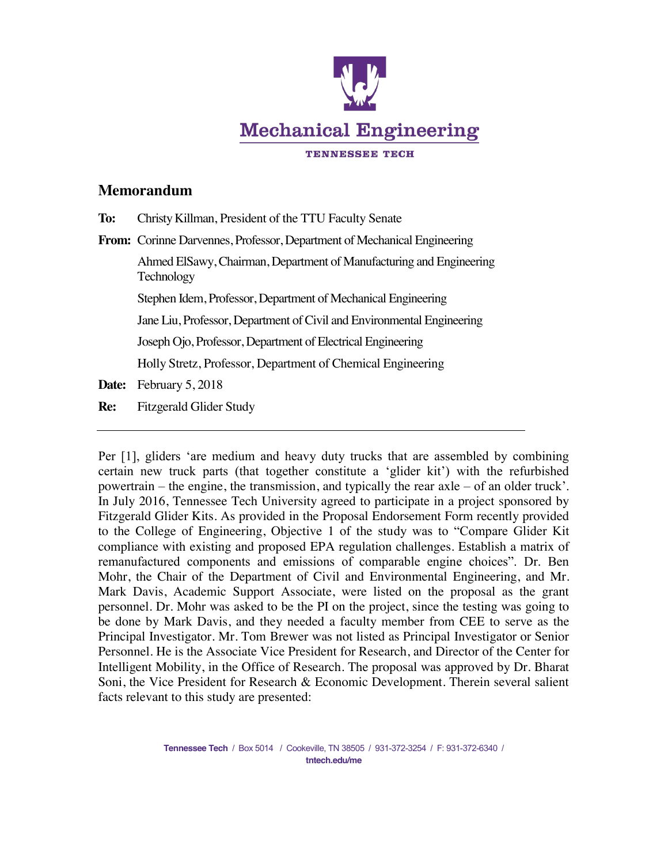

## **Memorandum**

| To:   | Christy Killman, President of the TTU Faculty Senate                              |
|-------|-----------------------------------------------------------------------------------|
|       | <b>From:</b> Corinne Darvennes, Professor, Department of Mechanical Engineering   |
|       | Ahmed ElSawy, Chairman, Department of Manufacturing and Engineering<br>Technology |
|       | Stephen Idem, Professor, Department of Mechanical Engineering                     |
|       | Jane Liu, Professor, Department of Civil and Environmental Engineering            |
|       | Joseph Ojo, Professor, Department of Electrical Engineering                       |
|       | Holly Stretz, Professor, Department of Chemical Engineering                       |
| Date: | February 5, 2018                                                                  |
|       |                                                                                   |

**Re:** Fitzgerald Glider Study

Per [1], gliders 'are medium and heavy duty trucks that are assembled by combining certain new truck parts (that together constitute a 'glider kit') with the refurbished powertrain – the engine, the transmission, and typically the rear axle – of an older truck'. In July 2016, Tennessee Tech University agreed to participate in a project sponsored by Fitzgerald Glider Kits. As provided in the Proposal Endorsement Form recently provided to the College of Engineering, Objective 1 of the study was to "Compare Glider Kit compliance with existing and proposed EPA regulation challenges. Establish a matrix of remanufactured components and emissions of comparable engine choices". Dr. Ben Mohr, the Chair of the Department of Civil and Environmental Engineering, and Mr. Mark Davis, Academic Support Associate, were listed on the proposal as the grant personnel. Dr. Mohr was asked to be the PI on the project, since the testing was going to be done by Mark Davis, and they needed a faculty member from CEE to serve as the Principal Investigator. Mr. Tom Brewer was not listed as Principal Investigator or Senior Personnel. He is the Associate Vice President for Research, and Director of the Center for Intelligent Mobility, in the Office of Research. The proposal was approved by Dr. Bharat Soni, the Vice President for Research & Economic Development. Therein several salient facts relevant to this study are presented: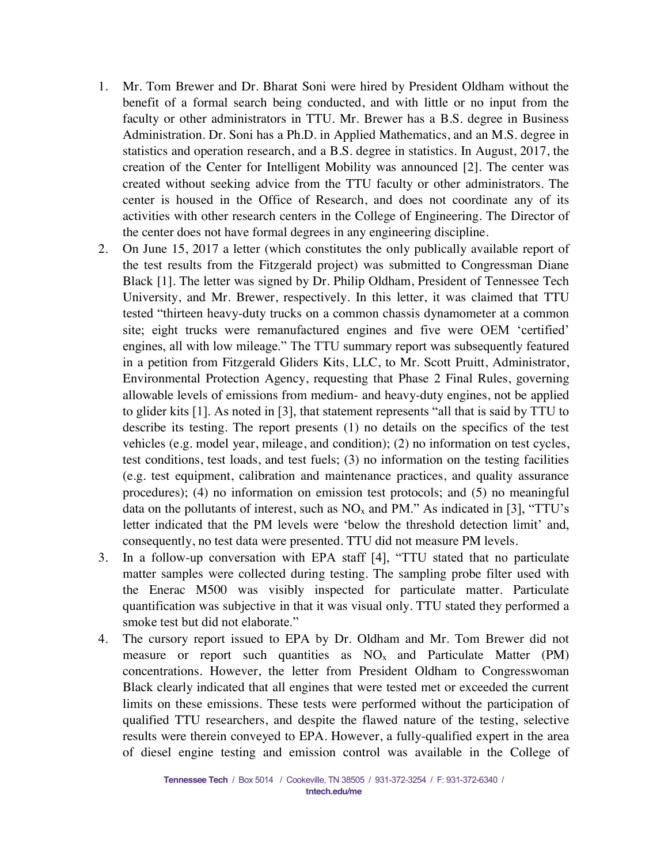- 1. Mr. Tom Brewer and Dr. Bharat Soni were hired by President Oldham without the benefit of a formal search being conducted, and with little or no input from the faculty or other administrators in TTU. Mr. Brewer has a B.S. degree in Business Administration. Dr. Soni has a Ph.D. in Applied Mathematics, and an M.S. degree in statistics and operation research, and a B.S. degree in statistics. In August, 2017, the creation of the Center for Intelligent Mobility was announced [2]. The center was created without seeking advice from the TTU faculty or other administrators. The center is housed in the Office of Research, and does not coordinate any of its activities with other research centers in the College of Engineering. The Director of the center does not have formal degrees in any engineering discipline.
- 2. On June 15, 2017 a letter (which constitutes the only publically available report of the test results from the Fitzgerald project) was submitted to Congressman Diane Black [1]. The letter was signed by Dr. Philip Oldham, President of Tennessee Tech University, and Mr. Brewer, respectively. In this letter, it was claimed that TTU tested "thirteen heavy-duty trucks on a common chassis dynamometer at a common site; eight trucks were remanufactured engines and five were OEM 'certified' engines, all with low mileage." The TTU summary report was subsequently featured in a petition from Fitzgerald Gliders Kits, LLC, to Mr. Scott Pruitt, Administrator, Environmental Protection Agency, requesting that Phase 2 Final Rules, governing allowable levels of emissions from medium- and heavy-duty engines, not be applied to glider kits [1]. As noted in [3], that statement represents "all that is said by TTU to describe its testing. The report presents (1) no details on the specifics of the test vehicles (e.g. model year, mileage, and condition); (2) no information on test cycles, test conditions, test loads, and test fuels; (3) no information on the testing facilities (e.g. test equipment, calibration and maintenance practices, and quality assurance procedures); (4) no information on emission test protocols; and (5) no meaningful data on the pollutants of interest, such as  $NO<sub>x</sub>$  and PM." As indicated in [3], "TTU's letter indicated that the PM levels were 'below the threshold detection limit' and, consequently, no test data were presented. TTU did not measure PM levels.
- 3. In a follow-up conversation with EPA staff [4], "TTU stated that no particulate matter samples were collected during testing. The sampling probe filter used with the Enerac M500 was visibly inspected for particulate matter. Particulate quantification was subjective in that it was visual only. TTU stated they performed a smoke test but did not elaborate."
- 4. The cursory report issued to EPA by Dr. Oldham and Mr. Tom Brewer did not measure or report such quantities as  $NO<sub>x</sub>$  and Particulate Matter (PM) concentrations. However, the letter from President Oldham to Congresswoman Black clearly indicated that all engines that were tested met or exceeded the current limits on these emissions. These tests were performed without the participation of qualified TTU researchers, and despite the flawed nature of the testing, selective results were therein conveyed to EPA. However, a fully-qualified expert in the area of diesel engine testing and emission control was available in the College of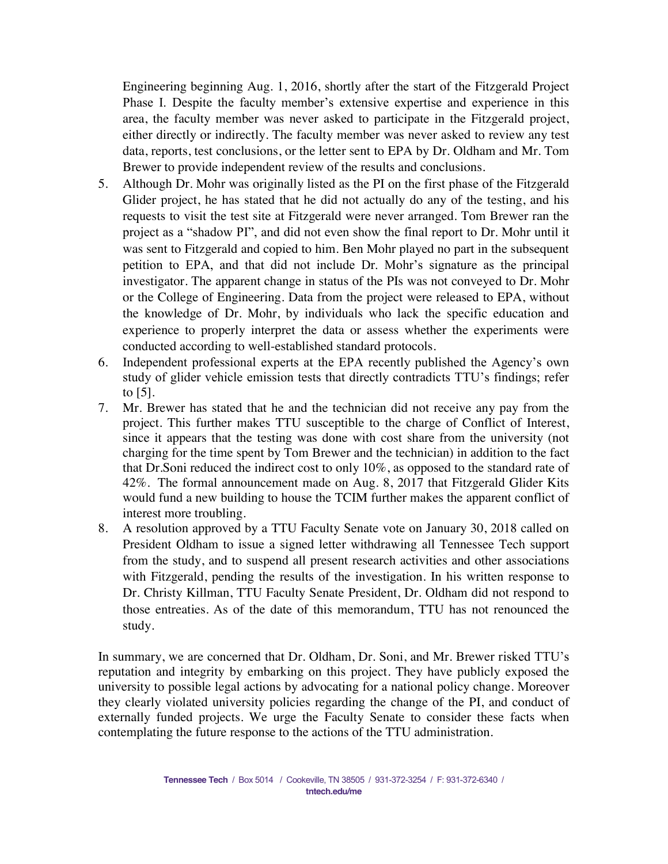Engineering beginning Aug. 1, 2016, shortly after the start of the Fitzgerald Project Phase I. Despite the faculty member's extensive expertise and experience in this area, the faculty member was never asked to participate in the Fitzgerald project, either directly or indirectly. The faculty member was never asked to review any test data, reports, test conclusions, or the letter sent to EPA by Dr. Oldham and Mr. Tom Brewer to provide independent review of the results and conclusions.

- 5. Although Dr. Mohr was originally listed as the PI on the first phase of the Fitzgerald Glider project, he has stated that he did not actually do any of the testing, and his requests to visit the test site at Fitzgerald were never arranged. Tom Brewer ran the project as a "shadow PI", and did not even show the final report to Dr. Mohr until it was sent to Fitzgerald and copied to him. Ben Mohr played no part in the subsequent petition to EPA, and that did not include Dr. Mohr's signature as the principal investigator. The apparent change in status of the PIs was not conveyed to Dr. Mohr or the College of Engineering. Data from the project were released to EPA, without the knowledge of Dr. Mohr, by individuals who lack the specific education and experience to properly interpret the data or assess whether the experiments were conducted according to well-established standard protocols.
- 6. Independent professional experts at the EPA recently published the Agency's own study of glider vehicle emission tests that directly contradicts TTU's findings; refer to [5].
- 7. Mr. Brewer has stated that he and the technician did not receive any pay from the project. This further makes TTU susceptible to the charge of Conflict of Interest, since it appears that the testing was done with cost share from the university (not charging for the time spent by Tom Brewer and the technician) in addition to the fact that Dr.Soni reduced the indirect cost to only 10%, as opposed to the standard rate of 42%. The formal announcement made on Aug. 8, 2017 that Fitzgerald Glider Kits would fund a new building to house the TCIM further makes the apparent conflict of interest more troubling.
- 8. A resolution approved by a TTU Faculty Senate vote on January 30, 2018 called on President Oldham to issue a signed letter withdrawing all Tennessee Tech support from the study, and to suspend all present research activities and other associations with Fitzgerald, pending the results of the investigation. In his written response to Dr. Christy Killman, TTU Faculty Senate President, Dr. Oldham did not respond to those entreaties. As of the date of this memorandum, TTU has not renounced the study.

In summary, we are concerned that Dr. Oldham, Dr. Soni, and Mr. Brewer risked TTU's reputation and integrity by embarking on this project. They have publicly exposed the university to possible legal actions by advocating for a national policy change. Moreover they clearly violated university policies regarding the change of the PI, and conduct of externally funded projects. We urge the Faculty Senate to consider these facts when contemplating the future response to the actions of the TTU administration.